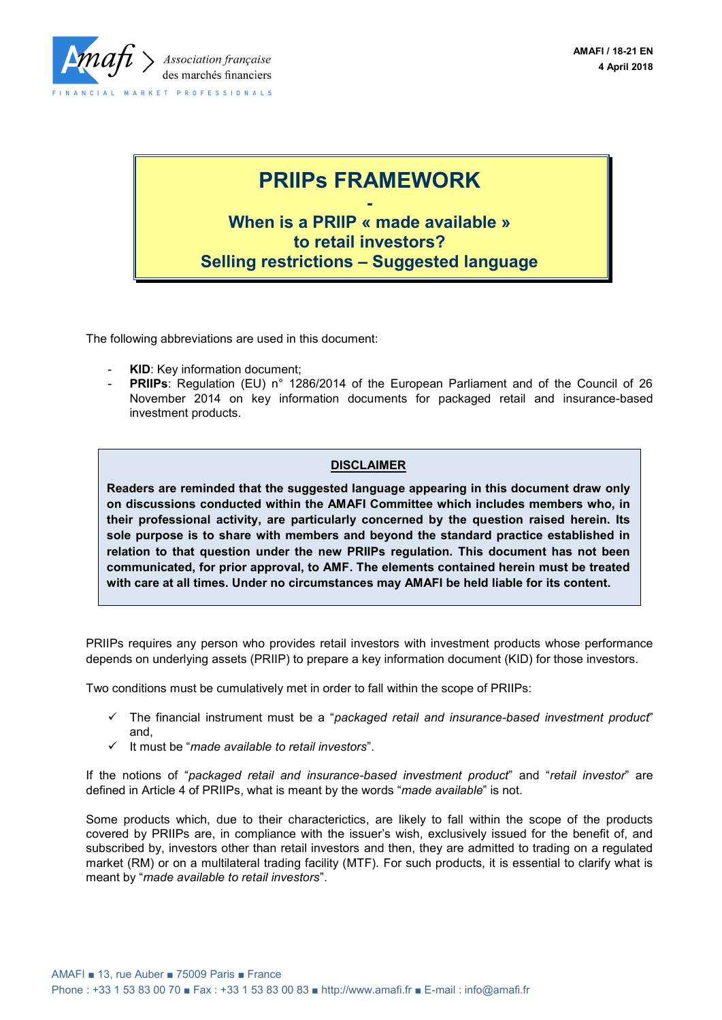

# **PRIIPs FRAMEWORK**

**- When is a PRIIP « made available » to retail investors? Selling restrictions – Suggested language**

The following abbreviations are used in this document:

- **KID:** Key information document;
- **PRIIPs:** Regulation (EU) n° 1286/2014 of the European Parliament and of the Council of 26 November 2014 on key information documents for packaged retail and insurance-based investment products.

### **DISCLAIMER**

**Readers are reminded that the suggested language appearing in this document draw only on discussions conducted within the AMAFI Committee which includes members who, in their professional activity, are particularly concerned by the question raised herein. Its sole purpose is to share with members and beyond the standard practice established in relation to that question under the new PRIIPs regulation. This document has not been communicated, for prior approval, to AMF. The elements contained herein must be treated with care at all times. Under no circumstances may AMAFI be held liable for its content.** 

PRIIPs requires any person who provides retail investors with investment products whose performance depends on underlying assets (PRIIP) to prepare a key information document (KID) for those investors.

Two conditions must be cumulatively met in order to fall within the scope of PRIIPs:

- The financial instrument must be a "*packaged retail and insurance-based investment product*" and,
- It must be "*made available to retail investors*".

If the notions of "*packaged retail and insurance-based investment product*" and "*retail investor*" are defined in Article 4 of PRIIPs, what is meant by the words "*made available*" is not.

Some products which, due to their characterictics, are likely to fall within the scope of the products covered by PRIIPs are, in compliance with the issuer's wish, exclusively issued for the benefit of, and subscribed by, investors other than retail investors and then, they are admitted to trading on a regulated market (RM) or on a multilateral trading facility (MTF). For such products, it is essential to clarify what is meant by "*made available to retail investors*".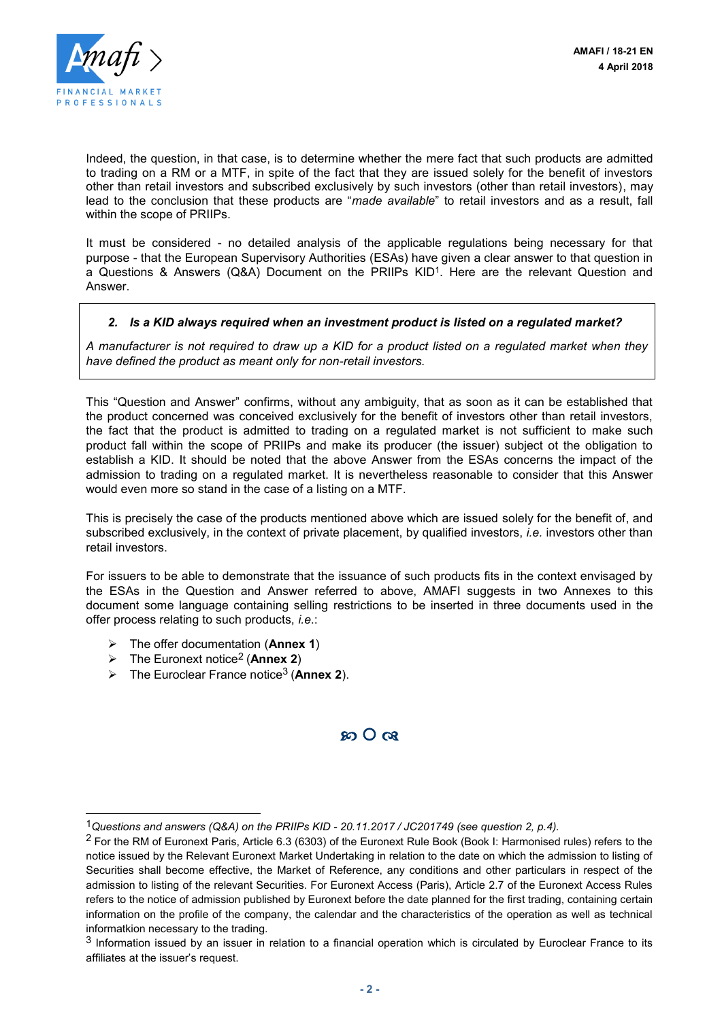

Indeed, the question, in that case, is to determine whether the mere fact that such products are admitted to trading on a RM or a MTF, in spite of the fact that they are issued solely for the benefit of investors other than retail investors and subscribed exclusively by such investors (other than retail investors), may lead to the conclusion that these products are "*made available*" to retail investors and as a result, fall within the scope of PRIIPs.

It must be considered - no detailed analysis of the applicable regulations being necessary for that purpose - that the European Supervisory Authorities (ESAs) have given a clear answer to that question in a Questions & Answers (Q&A) Document on the PRIIPs KID<sup>1</sup>. Here are the relevant Question and Answer.

#### *2. Is a KID always required when an investment product is listed on a regulated market?*

*A manufacturer is not required to draw up a KID for a product listed on a regulated market when they have defined the product as meant only for non-retail investors.*

This "Question and Answer" confirms, without any ambiguity, that as soon as it can be established that the product concerned was conceived exclusively for the benefit of investors other than retail investors, the fact that the product is admitted to trading on a regulated market is not sufficient to make such product fall within the scope of PRIIPs and make its producer (the issuer) subject ot the obligation to establish a KID. It should be noted that the above Answer from the ESAs concerns the impact of the admission to trading on a regulated market. It is nevertheless reasonable to consider that this Answer would even more so stand in the case of a listing on a MTF.

This is precisely the case of the products mentioned above which are issued solely for the benefit of, and subscribed exclusively, in the context of private placement, by qualified investors, *i.e.* investors other than retail investors.

For issuers to be able to demonstrate that the issuance of such products fits in the context envisaged by the ESAs in the Question and Answer referred to above, AMAFI suggests in two Annexes to this document some language containing selling restrictions to be inserted in three documents used in the offer process relating to such products, *i.e*.:

- The offer documentation (**Annex 1**)
- The Euronext notice2 (**Annex 2**)

l

The Euroclear France notice3 (**Annex 2**).

 $\Omega$   $\Omega$   $\Omega$ 

<sup>1</sup>*Questions and answers (Q&A) on the PRIIPs KID - 20.11.2017 / JC201749 (see question 2, p.4).*

<sup>&</sup>lt;sup>2</sup> For the RM of Euronext Paris, Article 6.3 (6303) of the Euronext Rule Book (Book I: Harmonised rules) refers to the notice issued by the Relevant Euronext Market Undertaking in relation to the date on which the admission to listing of Securities shall become effective, the Market of Reference, any conditions and other particulars in respect of the admission to listing of the relevant Securities. For Euronext Access (Paris), Article 2.7 of the Euronext Access Rules refers to the notice of admission published by Euronext before the date planned for the first trading, containing certain information on the profile of the company, the calendar and the characteristics of the operation as well as technical informatkion necessary to the trading.

 $3$  Information issued by an issuer in relation to a financial operation which is circulated by Euroclear France to its affiliates at the issuer's request.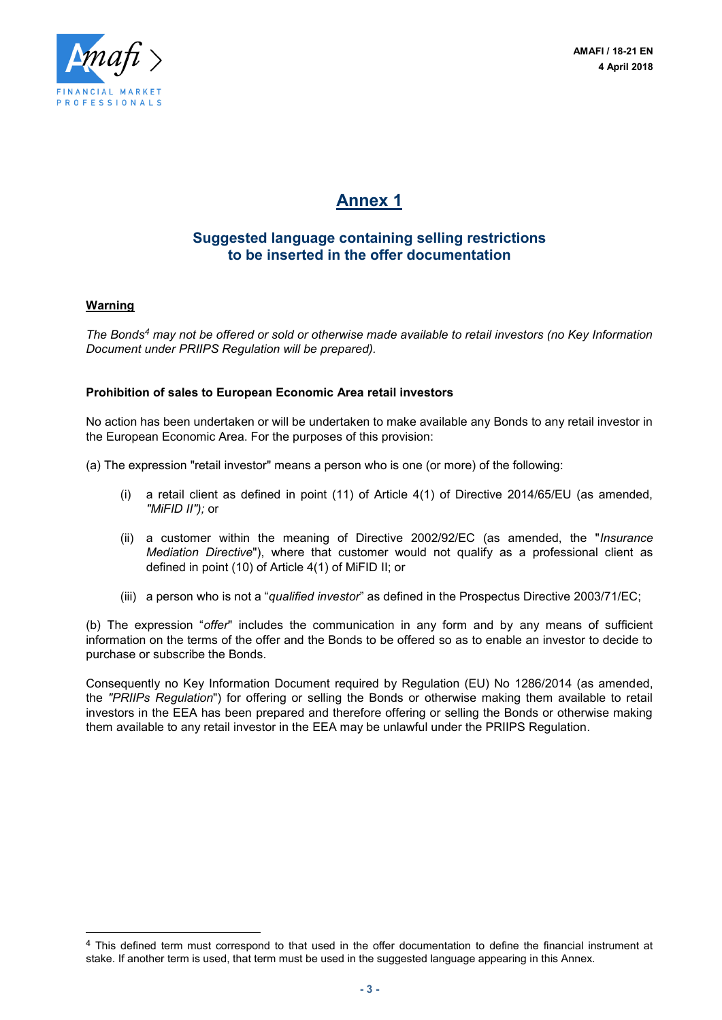

## **Annex 1**

## **Suggested language containing selling restrictions to be inserted in the offer documentation**

### **Warning**

l

*The Bonds<sup>4</sup> may not be offered or sold or otherwise made available to retail investors (no Key Information Document under PRIIPS Regulation will be prepared).*

#### **Prohibition of sales to European Economic Area retail investors**

No action has been undertaken or will be undertaken to make available any Bonds to any retail investor in the European Economic Area. For the purposes of this provision:

- (a) The expression "retail investor" means a person who is one (or more) of the following:
	- (i) a retail client as defined in point (11) of Article 4(1) of Directive 2014/65/EU (as amended, *"MiFID II");* or
	- (ii) a customer within the meaning of Directive 2002/92/EC (as amended, the "*Insurance Mediation Directive*"), where that customer would not qualify as a professional client as defined in point (10) of Article 4(1) of MiFID II; or
	- (iii) a person who is not a "*qualified investor*" as defined in the Prospectus Directive 2003/71/EC;

(b) The expression "*offer*" includes the communication in any form and by any means of sufficient information on the terms of the offer and the Bonds to be offered so as to enable an investor to decide to purchase or subscribe the Bonds.

Consequently no Key Information Document required by Regulation (EU) No 1286/2014 (as amended, the *"PRIIPs Regulation*") for offering or selling the Bonds or otherwise making them available to retail investors in the EEA has been prepared and therefore offering or selling the Bonds or otherwise making them available to any retail investor in the EEA may be unlawful under the PRIIPS Regulation.

<sup>4</sup> This defined term must correspond to that used in the offer documentation to define the financial instrument at stake. If another term is used, that term must be used in the suggested language appearing in this Annex.